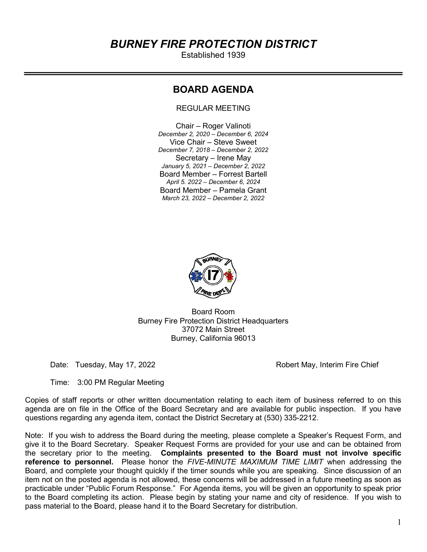# BURNEY FIRE PROTECTION DISTRICT

Established 1939

# BOARD AGENDA

REGULAR MEETING

Chair – Roger Valinoti December 2, 2020 – December 6, 2024 Vice Chair – Steve Sweet December 7, 2018 – December 2, 2022 Secretary – Irene May January 5, 2021 – December 2, 2022 Board Member – Forrest Bartell April 5. 2022 – December 6, 2024 Board Member – Pamela Grant March 23, 2022 – December 2, 2022



Board Room Burney Fire Protection District Headquarters 37072 Main Street Burney, California 96013

Date: Tuesday, May 17, 2022 **Robert May, Interim Fire Chief** 

Time: 3:00 PM Regular Meeting

Copies of staff reports or other written documentation relating to each item of business referred to on this agenda are on file in the Office of the Board Secretary and are available for public inspection. If you have questions regarding any agenda item, contact the District Secretary at (530) 335-2212.

Note: If you wish to address the Board during the meeting, please complete a Speaker's Request Form, and give it to the Board Secretary. Speaker Request Forms are provided for your use and can be obtained from the secretary prior to the meeting. Complaints presented to the Board must not involve specific reference to personnel. Please honor the FIVE-MINUTE MAXIMUM TIME LIMIT when addressing the Board, and complete your thought quickly if the timer sounds while you are speaking. Since discussion of an item not on the posted agenda is not allowed, these concerns will be addressed in a future meeting as soon as practicable under "Public Forum Response." For Agenda items, you will be given an opportunity to speak prior to the Board completing its action. Please begin by stating your name and city of residence. If you wish to pass material to the Board, please hand it to the Board Secretary for distribution.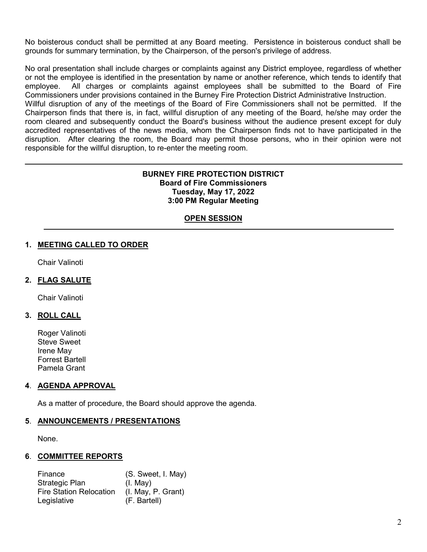No boisterous conduct shall be permitted at any Board meeting. Persistence in boisterous conduct shall be grounds for summary termination, by the Chairperson, of the person's privilege of address.

No oral presentation shall include charges or complaints against any District employee, regardless of whether or not the employee is identified in the presentation by name or another reference, which tends to identify that employee. All charges or complaints against employees shall be submitted to the Board of Fire Commissioners under provisions contained in the Burney Fire Protection District Administrative Instruction. Willful disruption of any of the meetings of the Board of Fire Commissioners shall not be permitted. If the Chairperson finds that there is, in fact, willful disruption of any meeting of the Board, he/she may order the room cleared and subsequently conduct the Board's business without the audience present except for duly

accredited representatives of the news media, whom the Chairperson finds not to have participated in the disruption. After clearing the room, the Board may permit those persons, who in their opinion were not responsible for the willful disruption, to re-enter the meeting room.

#### BURNEY FIRE PROTECTION DISTRICT Board of Fire Commissioners Tuesday, May 17, 2022 3:00 PM Regular Meeting

# **OPEN SESSION**

# 1. MEETING CALLED TO ORDER

Chair Valinoti

### 2. FLAG SALUTE

Chair Valinoti

#### 3. ROLL CALL

Roger Valinoti Steve Sweet Irene May Forrest Bartell Pamela Grant

#### 4. AGENDA APPROVAL

As a matter of procedure, the Board should approve the agenda.

#### 5. ANNOUNCEMENTS / PRESENTATIONS

None.

#### 6. COMMITTEE REPORTS

 Finance (S. Sweet, I. May) Strategic Plan (I. May) Fire Station Relocation (I. May, P. Grant) Legislative (F. Bartell)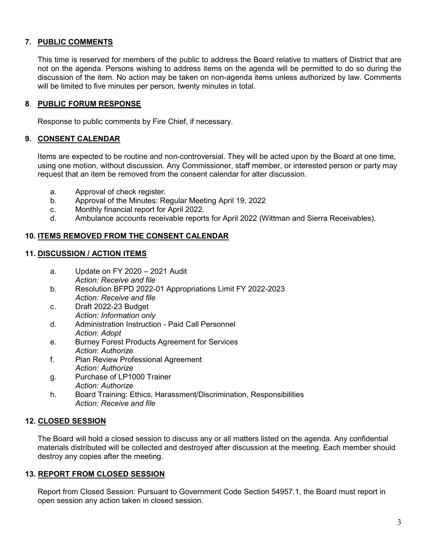# 7. PUBLIC COMMENTS

This time is reserved for members of the public to address the Board relative to matters of District that are not on the agenda. Persons wishing to address items on the agenda will be permitted to do so during the discussion of the item. No action may be taken on non-agenda items unless authorized by law. Comments will be limited to five minutes per person, twenty minutes in total.

#### 8. PUBLIC FORUM RESPONSE

Response to public comments by Fire Chief, if necessary.

#### 9. CONSENT CALENDAR

 Items are expected to be routine and non-controversial. They will be acted upon by the Board at one time, using one motion, without discussion. Any Commissioner, staff member, or interested person or party may request that an item be removed from the consent calendar for alter discussion.

- a. Approval of check register.
- b. Approval of the Minutes: Regular Meeting April 19, 2022
- c. Monthly financial report for April 2022.
- d. Ambulance accounts receivable reports for April 2022 (Wittman and Sierra Receivables).

# 10. ITEMS REMOVED FROM THE CONSENT CALENDAR

#### 11. DISCUSSION / ACTION ITEMS

- a. Update on FY 2020 2021 Audit Action: Receive and file
- b. Resolution BFPD 2022-01 Appropriations Limit FY 2022-2023 Action: Receive and file
- c. Draft 2022-23 Budget Action: Information only
- d. Administration Instruction Paid Call Personnel Action: Adopt
- e. Burney Forest Products Agreement for Services Action: Authorize
- f. Plan Review Professional Agreement Action: Authorize
- g. Purchase of LP1000 Trainer Action: Authorize
- h. Board Training: Ethics, Harassment/Discrimination, Responsibilities Action: Receive and file

#### 12. CLOSED SESSION

The Board will hold a closed session to discuss any or all matters listed on the agenda. Any confidential materials distributed will be collected and destroyed after discussion at the meeting. Each member should destroy any copies after the meeting.

#### 13. REPORT FROM CLOSED SESSION

Report from Closed Session: Pursuant to Government Code Section 54957.1, the Board must report in open session any action taken in closed session.